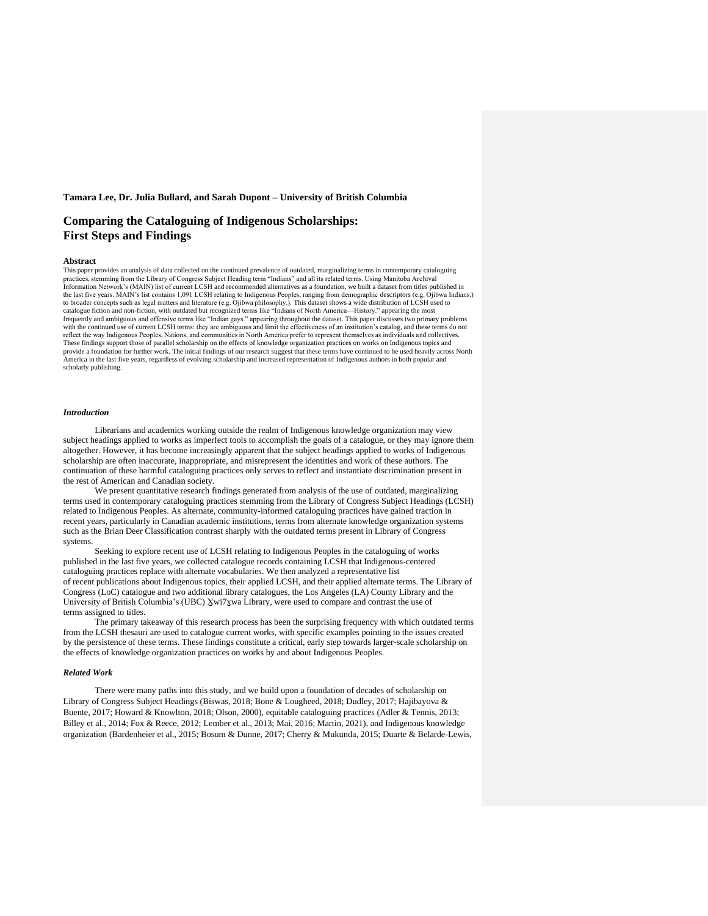# **Tamara Lee, Dr. Julia Bullard, and Sarah Dupont – University of British Columbia**

# **Comparing the Cataloguing of Indigenous Scholarships: First Steps and Findings**

#### **Abstract**

This paper provides an analysis of data collected on the continued prevalence of outdated, marginalizing terms in contemporary cataloguing practices, stemming from the Library of Congress Subject Heading term "Indians" and all its related terms. Using Manitoba Archival Information Network's (MAIN) list of current LCSH and recommended alternatives as a foundation, we built a dataset from titles published in the last five years. MAIN's list contains 1,091 LCSH relating to Indigenous Peoples, ranging from demographic descriptors (e.g. Ojibwa Indians.) to broader concepts such as legal matters and literature (e.g. Ojibwa philosophy.). This dataset shows a wide distribution of LCSH used to catalogue fiction and non-fiction, with outdated but recognized terms like "Indians of North America—History." appearing the most frequently and ambiguous and offensive terms like "Indian gays." appearing throughout the dataset. This paper discusses two primary problems with the continued use of current LCSH terms: they are ambiguous and limit the effectiveness of an institution's catalog, and these terms do not reflect the way Indigenous Peoples, Nations, and communities in North America prefer to represent themselves as individuals and collectives. These findings support those of parallel scholarship on the effects of knowledge organization practices on works on Indigenous topics and provide a foundation for further work. The initial findings of our research suggest that these terms have continued to be used heavily across North America in the last five years, regardless of evolving scholarship and increased representation of Indigenous authors in both popular and scholarly publishing.

## *Introduction*

Librarians and academics working outside the realm of Indigenous knowledge organization may view subject headings applied to works as imperfect tools to accomplish the goals of a catalogue, or they may ignore them altogether. However, it has become increasingly apparent that the subject headings applied to works of Indigenous scholarship are often inaccurate, inappropriate, and misrepresent the identities and work of these authors. The continuation of these harmful cataloguing practices only serves to reflect and instantiate discrimination present in the rest of American and Canadian society.

We present quantitative research findings generated from analysis of the use of outdated, marginalizing terms used in contemporary cataloguing practices stemming from the Library of Congress Subject Headings (LCSH) related to Indigenous Peoples. As alternate, community-informed cataloguing practices have gained traction in recent years, particularly in Canadian academic institutions, terms from alternate knowledge organization systems such as the Brian Deer Classification contrast sharply with the outdated terms present in Library of Congress systems.

Seeking to explore recent use of LCSH relating to Indigenous Peoples in the cataloguing of works published in the last five years, we collected catalogue records containing LCSH that Indigenous-centered cataloguing practices replace with alternate vocabularies. We then analyzed a representative list of recent publications about Indigenous topics, their applied LCSH, and their applied alternate terms. The Library of Congress (LoC) catalogue and two additional library catalogues, the Los Angeles (LA) County Library and the University of British Columbia's (UBC) Xwi7xwa Library, were used to compare and contrast the use of terms assigned to titles.

The primary takeaway of this research process has been the surprising frequency with which outdated terms from the LCSH thesauri are used to catalogue current works, with specific examples pointing to the issues created by the persistence of these terms. These findings constitute a critical, early step towards larger-scale scholarship on the effects of knowledge organization practices on works by and about Indigenous Peoples.

## *Related Work*

There were many paths into this study, and we build upon a foundation of decades of scholarship on Library of Congress Subject Headings (Biswas, 2018; Bone & Lougheed, 2018; Dudley, 2017; Hajibayova & Buente, 2017; Howard & Knowlton, 2018; Olson, 2000), equitable cataloguing practices (Adler & Tennis, 2013; Billey et al., 2014; Fox & Reece, 2012; Lember et al., 2013; Mai, 2016; Martin, 2021), and Indigenous knowledge organization (Bardenheier et al., 2015; Bosum & Dunne, 2017; Cherry & Mukunda, 2015; Duarte & Belarde-Lewis,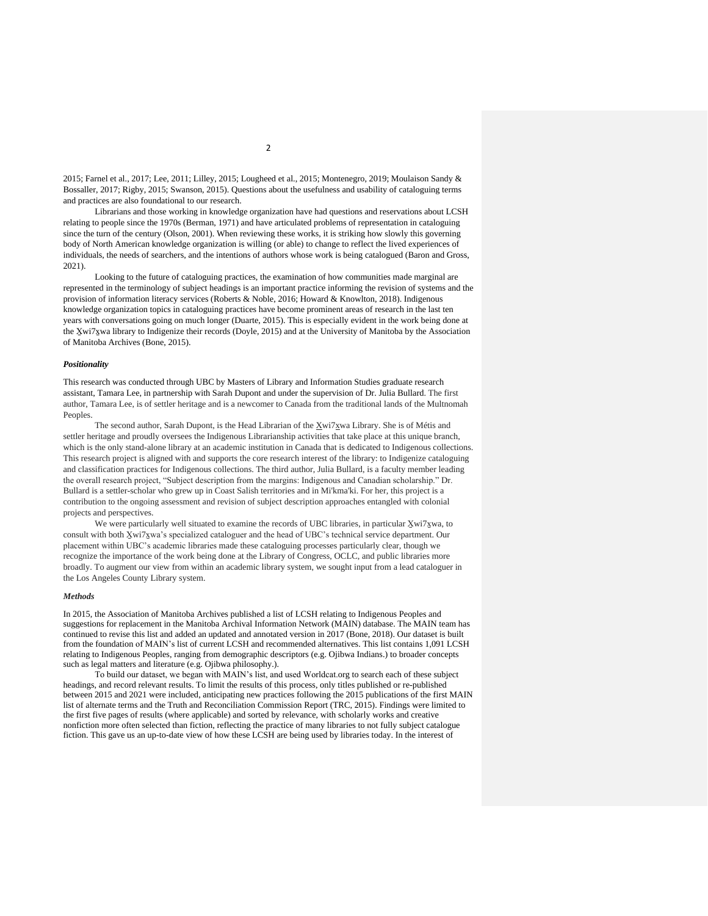2015; Farnel et al., 2017; Lee, 2011; Lilley, 2015; Lougheed et al., 2015; Montenegro, 2019; Moulaison Sandy & Bossaller, 2017; Rigby, 2015; Swanson, 2015). Questions about the usefulness and usability of cataloguing terms and practices are also foundational to our research.

Librarians and those working in knowledge organization have had questions and reservations about LCSH relating to people since the 1970s (Berman, 1971) and have articulated problems of representation in cataloguing since the turn of the century (Olson, 2001). When reviewing these works, it is striking how slowly this governing body of North American knowledge organization is willing (or able) to change to reflect the lived experiences of individuals, the needs of searchers, and the intentions of authors whose work is being catalogued (Baron and Gross, 2021).

Looking to the future of cataloguing practices, the examination of how communities made marginal are represented in the terminology of subject headings is an important practice informing the revision of systems and the provision of information literacy services (Roberts & Noble, 2016; Howard & Knowlton, 2018). Indigenous knowledge organization topics in cataloguing practices have become prominent areas of research in the last ten years with conversations going on much longer (Duarte, 2015). This is especially evident in the work being done at the X̱wi7x̱wa library to Indigenize their records (Doyle, 2015) and at the University of Manitoba by the Association of Manitoba Archives (Bone, 2015).

## *Positionality*

This research was conducted through UBC by Masters of Library and Information Studies graduate research assistant, Tamara Lee, in partnership with Sarah Dupont and under the supervision of Dr. Julia Bullard. The first author, Tamara Lee, is of settler heritage and is a newcomer to Canada from the traditional lands of the Multnomah Peoples.

The second author, Sarah Dupont, is the Head Librarian of the Xwi7xwa Library. She is of Métis and settler heritage and proudly oversees the Indigenous Librarianship activities that take place at this unique branch, which is the only stand-alone library at an academic institution in Canada that is dedicated to Indigenous collections. This research project is aligned with and supports the core research interest of the library: to Indigenize cataloguing and classification practices for Indigenous collections. The third author, Julia Bullard, is a faculty member leading the overall research project, "Subject description from the margins: Indigenous and Canadian scholarship." Dr. Bullard is a settler-scholar who grew up in Coast Salish territories and in Mi'kma'ki. For her, this project is a contribution to the ongoing assessment and revision of subject description approaches entangled with colonial projects and perspectives.

We were particularly well situated to examine the records of UBC libraries, in particular Xwi7xwa, to consult with both X̱wi7x̱wa's specialized cataloguer and the head of UBC's technical service department. Our placement within UBC's academic libraries made these cataloguing processes particularly clear, though we recognize the importance of the work being done at the Library of Congress, OCLC, and public libraries more broadly. To augment our view from within an academic library system, we sought input from a lead cataloguer in the Los Angeles County Library system.

## *Methods*

In 2015, the Association of Manitoba Archives published a list of LCSH relating to Indigenous Peoples and suggestions for replacement in the Manitoba Archival Information Network (MAIN) database. The MAIN team has continued to revise this list and added an updated and annotated version in 2017 (Bone, 2018). Our dataset is built from the foundation of MAIN's list of current LCSH and recommended alternatives. This list contains 1,091 LCSH relating to Indigenous Peoples, ranging from demographic descriptors (e.g. Ojibwa Indians.) to broader concepts such as legal matters and literature (e.g. Ojibwa philosophy.).

To build our dataset, we began with MAIN's list, and used Worldcat.org to search each of these subject headings, and record relevant results. To limit the results of this process, only titles published or re-published between 2015 and 2021 were included, anticipating new practices following the 2015 publications of the first MAIN list of alternate terms and the Truth and Reconciliation Commission Report (TRC, 2015). Findings were limited to the first five pages of results (where applicable) and sorted by relevance, with scholarly works and creative nonfiction more often selected than fiction, reflecting the practice of many libraries to not fully subject catalogue fiction. This gave us an up-to-date view of how these LCSH are being used by libraries today. In the interest of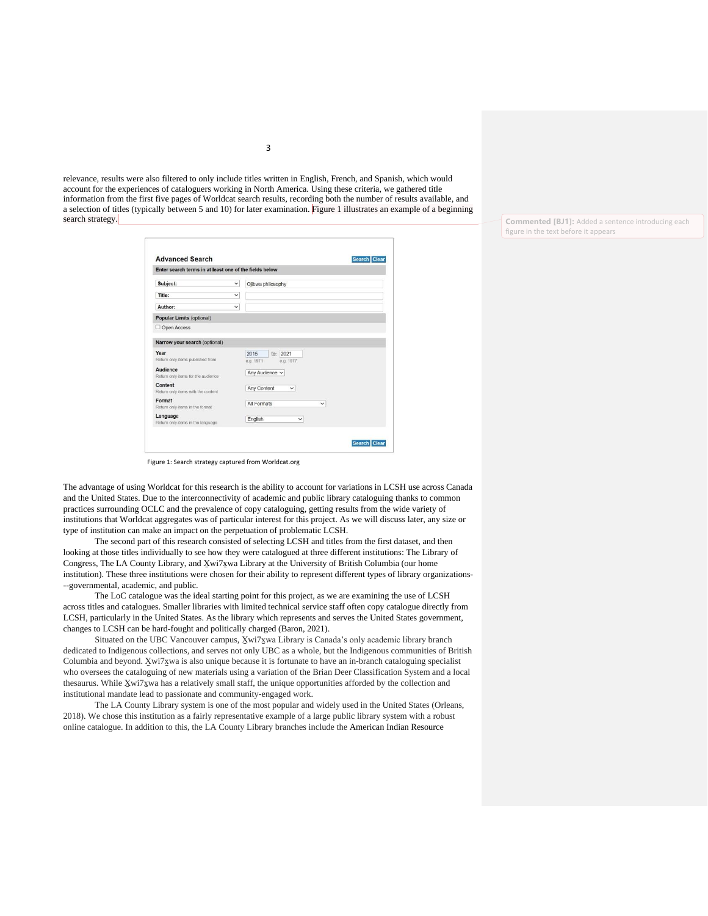relevance, results were also filtered to only include titles written in English, French, and Spanish, which would account for the experiences of cataloguers working in North America. Using these criteria, we gathered title information from the first five pages of Worldcat search results, recording both the number of results available, and a selection of titles (typically between 5 and 10) for later examination. Figure 1 illustrates an example of a beginning search strategy.

| Enter search terms in at least one of the fields below |              |                                            |  |
|--------------------------------------------------------|--------------|--------------------------------------------|--|
| Subject:                                               | $\checkmark$ | Ojibwa philosophy                          |  |
| Title:                                                 | $\checkmark$ |                                            |  |
| Author:                                                | $\checkmark$ |                                            |  |
| <b>Popular Limits (optional)</b>                       |              |                                            |  |
| Open Access                                            |              |                                            |  |
| Narrow your search (optional)                          |              |                                            |  |
| Year<br>Return only items published from               |              | 2015<br>to: 2021<br>e.g. 1977<br>e.g. 1971 |  |
| Audience<br>Return only items for the audience         |              | Any Audience ~                             |  |
| Content<br>Return only items with the content          |              | Any Content<br>$\checkmark$                |  |
| Format<br>Return only items in the format.             |              | All Formats<br>$\checkmark$                |  |
| Language<br>Return only items in the language.         |              | English<br>$\checkmark$                    |  |

Figure 1: Search strategy captured from Worldcat.org

The advantage of using Worldcat for this research is the ability to account for variations in LCSH use across Canada and the United States. Due to the interconnectivity of academic and public library cataloguing thanks to common practices surrounding OCLC and the prevalence of copy cataloguing, getting results from the wide variety of institutions that Worldcat aggregates was of particular interest for this project. As we will discuss later, any size or type of institution can make an impact on the perpetuation of problematic LCSH.

The second part of this research consisted of selecting LCSH and titles from the first dataset, and then looking at those titles individually to see how they were catalogued at three different institutions: The Library of Congress, The LA County Library, and X̱wi7x̱wa Library at the University of British Columbia (our home institution). These three institutions were chosen for their ability to represent different types of library organizations- --governmental, academic, and public.

The LoC catalogue was the ideal starting point for this project, as we are examining the use of LCSH across titles and catalogues. Smaller libraries with limited technical service staff often copy catalogue directly from LCSH, particularly in the United States. As the library which represents and serves the United States government, changes to LCSH can be hard-fought and politically charged (Baron, 2021).

Situated on the UBC Vancouver campus, Xwi7xwa Library is Canada's only academic library branch dedicated to Indigenous collections, and serves not only UBC as a whole, but the Indigenous communities of British Columbia and beyond. X̱wi7x̱wa is also unique because it is fortunate to have an in-branch cataloguing specialist who oversees the cataloguing of new materials using a variation of the Brian Deer Classification System and a local thesaurus. While X̱wi7x̱wa has a relatively small staff, the unique opportunities afforded by the collection and institutional mandate lead to passionate and community-engaged work.

The LA County Library system is one of the most popular and widely used in the United States (Orleans, 2018). We chose this institution as a fairly representative example of a large public library system with a robust online catalogue. In addition to this, the LA County Library branches include the American Indian Resource

**Commented [BJ1]:** Added a sentence introducing each figure in the text before it appears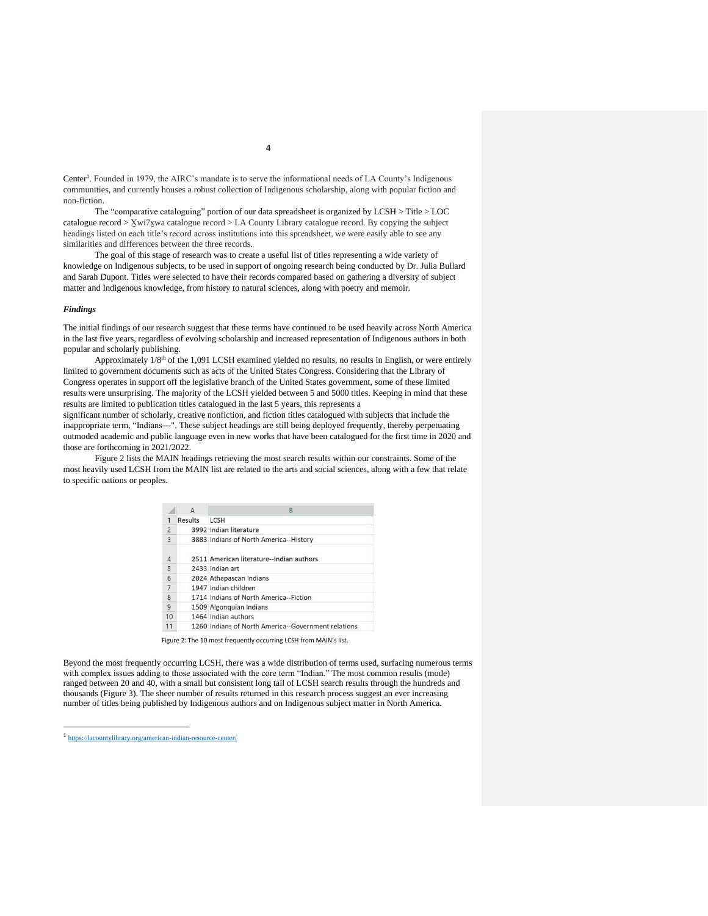Center<sup>1</sup>. Founded in 1979, the AIRC's mandate is to serve the informational needs of LA County's Indigenous communities, and currently houses a robust collection of Indigenous scholarship, along with popular fiction and non-fiction.

The "comparative cataloguing" portion of our data spreadsheet is organized by LCSH > Title > LOC catalogue record > X̱wi7x̱wa catalogue record > LA County Library catalogue record. By copying the subject headings listed on each title's record across institutions into this spreadsheet, we were easily able to see any similarities and differences between the three records.

The goal of this stage of research was to create a useful list of titles representing a wide variety of knowledge on Indigenous subjects, to be used in support of ongoing research being conducted by Dr. Julia Bullard and Sarah Dupont. Titles were selected to have their records compared based on gathering a diversity of subject matter and Indigenous knowledge, from history to natural sciences, along with poetry and memoir.

#### *Findings*

The initial findings of our research suggest that these terms have continued to be used heavily across North America in the last five years, regardless of evolving scholarship and increased representation of Indigenous authors in both popular and scholarly publishing.

Approximately  $1/8<sup>th</sup>$  of the 1,091 LCSH examined yielded no results, no results in English, or were entirely limited to government documents such as acts of the United States Congress. Considering that the Library of Congress operates in support off the legislative branch of the United States government, some of these limited results were unsurprising. The majority of the LCSH yielded between 5 and 5000 titles. Keeping in mind that these results are limited to publication titles catalogued in the last 5 years, this represents a

significant number of scholarly, creative nonfiction, and fiction titles catalogued with subjects that include the inappropriate term, "Indians---". These subject headings are still being deployed frequently, thereby perpetuating outmoded academic and public language even in new works that have been catalogued for the first time in 2020 and those are forthcoming in 2021/2022.

Figure 2 lists the MAIN headings retrieving the most search results within our constraints. Some of the most heavily used LCSH from the MAIN list are related to the arts and social sciences, along with a few that relate to specific nations or peoples.

|                | A       | B                                                   |  |
|----------------|---------|-----------------------------------------------------|--|
| 1              | Results | <b>LCSH</b>                                         |  |
| $\overline{2}$ |         | 3992 Indian literature                              |  |
| $\overline{3}$ |         | 3883 Indians of North America--History              |  |
| $\overline{4}$ |         | 2511 American literature--Indian authors            |  |
| 5              |         | 2433 Indian art                                     |  |
| 6              |         | 2024 Athapascan Indians                             |  |
| $\overline{7}$ |         | 1947 Indian children                                |  |
| $\mathsf{R}$   |         | 1714 Indians of North America--Fiction              |  |
| 9              |         | 1509 Algonquian Indians                             |  |
| 10             |         | 1464 Indian authors                                 |  |
| 11             |         | 1260 Indians of North America--Government relations |  |

Beyond the most frequently occurring LCSH, there was a wide distribution of terms used, surfacing numerous terms with complex issues adding to those associated with the core term "Indian." The most common results (mode) ranged between 20 and 40, with a small but consistent long tail of LCSH search results through the hundreds and thousands (Figure 3). The sheer number of results returned in this research process suggest an ever increasing number of titles being published by Indigenous authors and on Indigenous subject matter in North America.

<sup>1</sup> <https://lacountylibrary.org/american-indian-resource-center/>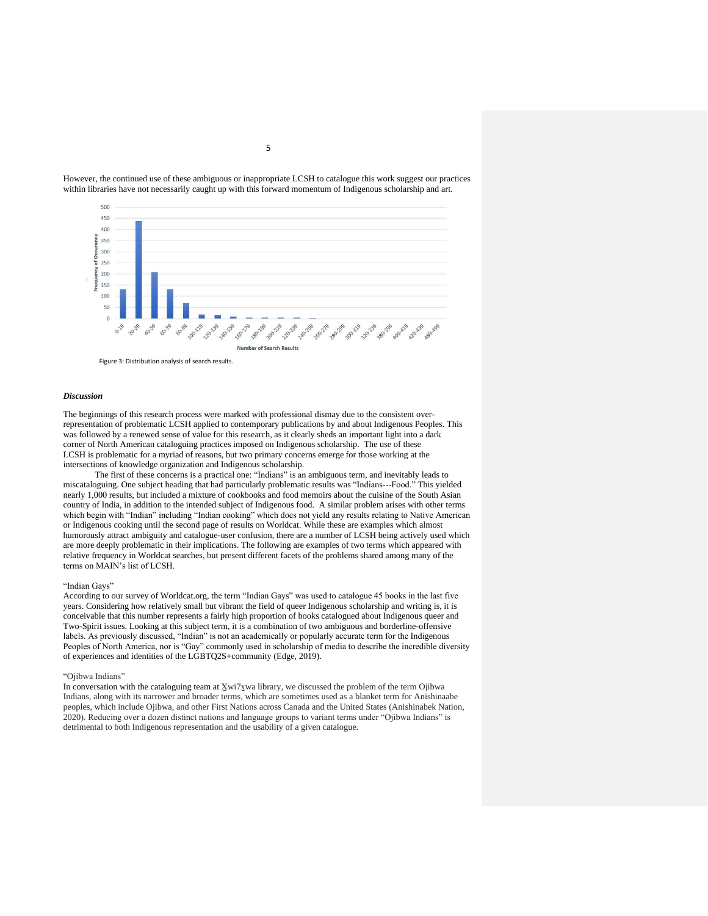

However, the continued use of these ambiguous or inappropriate LCSH to catalogue this work suggest our practices within libraries have not necessarily caught up with this forward momentum of Indigenous scholarship and art.

#### *Discussion*

The beginnings of this research process were marked with professional dismay due to the consistent overrepresentation of problematic LCSH applied to contemporary publications by and about Indigenous Peoples. This was followed by a renewed sense of value for this research, as it clearly sheds an important light into a dark corner of North American cataloguing practices imposed on Indigenous scholarship. The use of these LCSH is problematic for a myriad of reasons, but two primary concerns emerge for those working at the intersections of knowledge organization and Indigenous scholarship.

The first of these concerns is a practical one: "Indians" is an ambiguous term, and inevitably leads to miscataloguing. One subject heading that had particularly problematic results was "Indians---Food." This yielded nearly 1,000 results, but included a mixture of cookbooks and food memoirs about the cuisine of the South Asian country of India, in addition to the intended subject of Indigenous food. A similar problem arises with other terms which begin with "Indian" including "Indian cooking" which does not yield any results relating to Native American or Indigenous cooking until the second page of results on Worldcat. While these are examples which almost humorously attract ambiguity and catalogue-user confusion, there are a number of LCSH being actively used which are more deeply problematic in their implications. The following are examples of two terms which appeared with relative frequency in Worldcat searches, but present different facets of the problems shared among many of the terms on MAIN's list of LCSH.

#### "Indian Gays"

According to our survey of Worldcat.org, the term "Indian Gays" was used to catalogue 45 books in the last five years. Considering how relatively small but vibrant the field of queer Indigenous scholarship and writing is, it is conceivable that this number represents a fairly high proportion of books catalogued about Indigenous queer and Two-Spirit issues. Looking at this subject term, it is a combination of two ambiguous and borderline-offensive labels. As previously discussed, "Indian" is not an academically or popularly accurate term for the Indigenous Peoples of North America, nor is "Gay" commonly used in scholarship of media to describe the incredible diversity of experiences and identities of the LGBTQ2S+community (Edge, 2019).

## "Ojibwa Indians"

In conversation with the cataloguing team at Xwi7xwa library, we discussed the problem of the term Ojibwa Indians, along with its narrower and broader terms, which are sometimes used as a blanket term for Anishinaabe peoples, which include Ojibwa, and other First Nations across Canada and the United States (Anishinabek Nation, 2020). Reducing over a dozen distinct nations and language groups to variant terms under "Ojibwa Indians" is detrimental to both Indigenous representation and the usability of a given catalogue.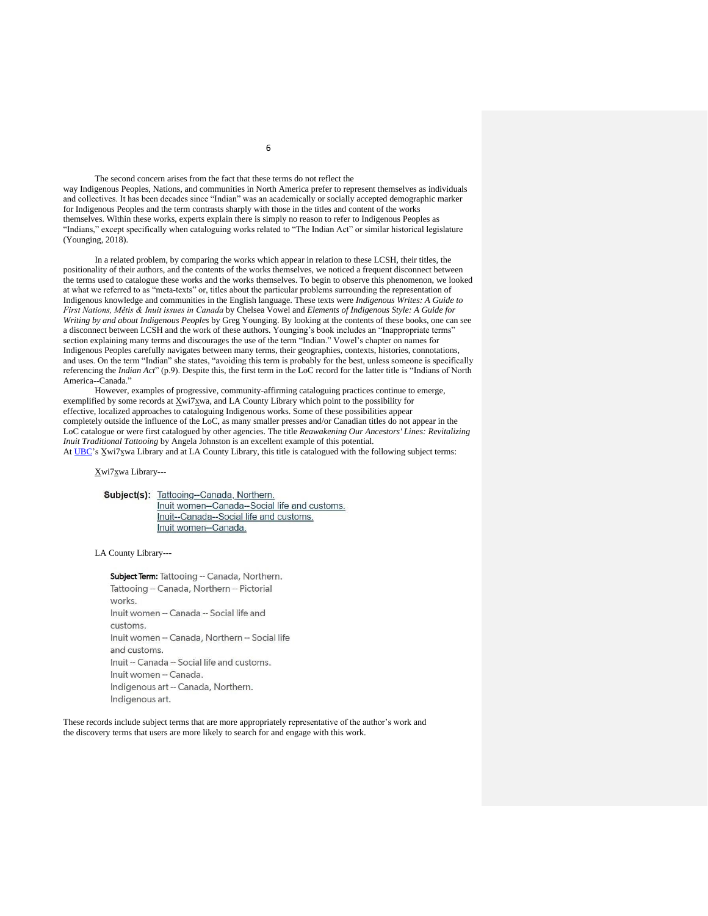The second concern arises from the fact that these terms do not reflect the way Indigenous Peoples, Nations, and communities in North America prefer to represent themselves as individuals and collectives. It has been decades since "Indian" was an academically or socially accepted demographic marker for Indigenous Peoples and the term contrasts sharply with those in the titles and content of the works themselves. Within these works, experts explain there is simply no reason to refer to Indigenous Peoples as "Indians," except specifically when cataloguing works related to "The Indian Act" or similar historical legislature (Younging, 2018).

In a related problem, by comparing the works which appear in relation to these LCSH, their titles, the positionality of their authors, and the contents of the works themselves, we noticed a frequent disconnect between the terms used to catalogue these works and the works themselves. To begin to observe this phenomenon, we looked at what we referred to as "meta-texts" or, titles about the particular problems surrounding the representation of Indigenous knowledge and communities in the English language. These texts were *Indigenous Writes: A Guide to First Nations, Mětis & Inuit issues in Canada* by Chelsea Vowel and *Elements of Indigenous Style: A Guide for Writing by and about Indigenous Peoples* by Greg Younging. By looking at the contents of these books, one can see a disconnect between LCSH and the work of these authors. Younging's book includes an "Inappropriate terms" section explaining many terms and discourages the use of the term "Indian." Vowel's chapter on names for Indigenous Peoples carefully navigates between many terms, their geographies, contexts, histories, connotations, and uses. On the term "Indian" she states, "avoiding this term is probably for the best, unless someone is specifically referencing the *Indian Act*" (p.9). Despite this, the first term in the LoC record for the latter title is "Indians of North America--Canada.'

However, examples of progressive, community-affirming cataloguing practices continue to emerge, exemplified by some records at Xwi7xwa, and LA County Library which point to the possibility for effective, localized approaches to cataloguing Indigenous works. Some of these possibilities appear completely outside the influence of the LoC, as many smaller presses and/or Canadian titles do not appear in the LoC catalogue or were first catalogued by other agencies. The title *Reawakening Our Ancestors' Lines: Revitalizing Inuit Traditional Tattooing* by Angela Johnston is an excellent example of this potential. At [UBC'](http://resolve.library.ubc.ca/cgi-bin/catsearch?bid=9099695)s X̱wi7x̱wa Library and at LA County Library, this title is catalogued with the following subject terms:

Xwi7xwa Library---

Subject(s): Tattooing--Canada, Northern. Inuit women--Canada--Social life and customs. Inuit--Canada--Social life and customs. Inuit women--Canada.

LA County Library---

Subject Term: Tattooing -- Canada, Northern. Tattooing -- Canada, Northern -- Pictorial works. Inuit women -- Canada -- Social life and customs. Inuit women -- Canada, Northern -- Social life and customs. Inuit -- Canada -- Social life and customs. Inuit women -- Canada. Indigenous art -- Canada, Northern. Indigenous art.

These records include subject terms that are more appropriately representative of the author's work and the discovery terms that users are more likely to search for and engage with this work.

6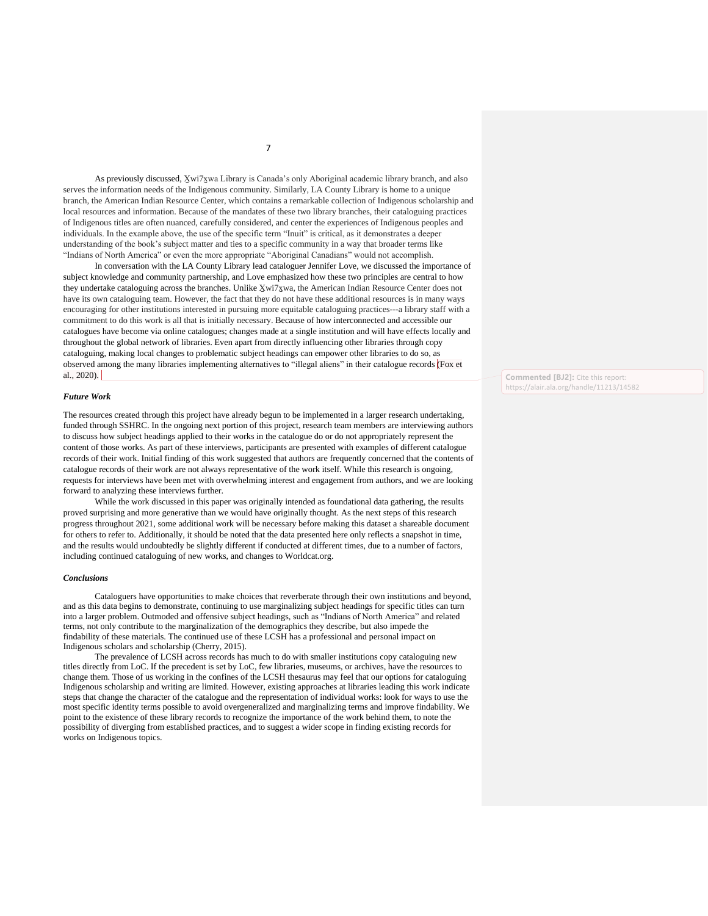As previously discussed, X̱wi7x̱wa Library is Canada's only Aboriginal academic library branch, and also serves the information needs of the Indigenous community. Similarly, LA County Library is home to a unique branch, the American Indian Resource Center, which contains a remarkable collection of Indigenous scholarship and local resources and information. Because of the mandates of these two library branches, their cataloguing practices of Indigenous titles are often nuanced, carefully considered, and center the experiences of Indigenous peoples and individuals. In the example above, the use of the specific term "Inuit" is critical, as it demonstrates a deeper understanding of the book's subject matter and ties to a specific community in a way that broader terms like "Indians of North America" or even the more appropriate "Aboriginal Canadians" would not accomplish.

In conversation with the LA County Library lead cataloguer Jennifer Love, we discussed the importance of subject knowledge and community partnership, and Love emphasized how these two principles are central to how they undertake cataloguing across the branches. Unlike Xwi7xwa, the American Indian Resource Center does not have its own cataloguing team. However, the fact that they do not have these additional resources is in many ways encouraging for other institutions interested in pursuing more equitable cataloguing practices---a library staff with a commitment to do this work is all that is initially necessary. Because of how interconnected and accessible our catalogues have become via online catalogues; changes made at a single institution and will have effects locally and throughout the global network of libraries. Even apart from directly influencing other libraries through copy cataloguing, making local changes to problematic subject headings can empower other libraries to do so, as observed among the many libraries implementing alternatives to "illegal aliens" in their catalogue records (Fox et al., 2020).

## *Future Work*

The resources created through this project have already begun to be implemented in a larger research undertaking, funded through SSHRC. In the ongoing next portion of this project, research team members are interviewing authors to discuss how subject headings applied to their works in the catalogue do or do not appropriately represent the content of those works. As part of these interviews, participants are presented with examples of different catalogue records of their work. Initial finding of this work suggested that authors are frequently concerned that the contents of catalogue records of their work are not always representative of the work itself. While this research is ongoing, requests for interviews have been met with overwhelming interest and engagement from authors, and we are looking forward to analyzing these interviews further.

While the work discussed in this paper was originally intended as foundational data gathering, the results proved surprising and more generative than we would have originally thought. As the next steps of this research progress throughout 2021, some additional work will be necessary before making this dataset a shareable document for others to refer to. Additionally, it should be noted that the data presented here only reflects a snapshot in time, and the results would undoubtedly be slightly different if conducted at different times, due to a number of factors, including continued cataloguing of new works, and changes to Worldcat.org.

## *Conclusions*

Cataloguers have opportunities to make choices that reverberate through their own institutions and beyond, and as this data begins to demonstrate, continuing to use marginalizing subject headings for specific titles can turn into a larger problem. Outmoded and offensive subject headings, such as "Indians of North America" and related terms, not only contribute to the marginalization of the demographics they describe, but also impede the findability of these materials. The continued use of these LCSH has a professional and personal impact on Indigenous scholars and scholarship (Cherry, 2015).

The prevalence of LCSH across records has much to do with smaller institutions copy cataloguing new titles directly from LoC. If the precedent is set by LoC, few libraries, museums, or archives, have the resources to change them. Those of us working in the confines of the LCSH thesaurus may feel that our options for cataloguing Indigenous scholarship and writing are limited. However, existing approaches at libraries leading this work indicate steps that change the character of the catalogue and the representation of individual works: look for ways to use the most specific identity terms possible to avoid overgeneralized and marginalizing terms and improve findability. We point to the existence of these library records to recognize the importance of the work behind them, to note the possibility of diverging from established practices, and to suggest a wider scope in finding existing records for works on Indigenous topics.

**Commented [BJ2]:** Cite this report: https://alair.ala.org/handle/11213/14582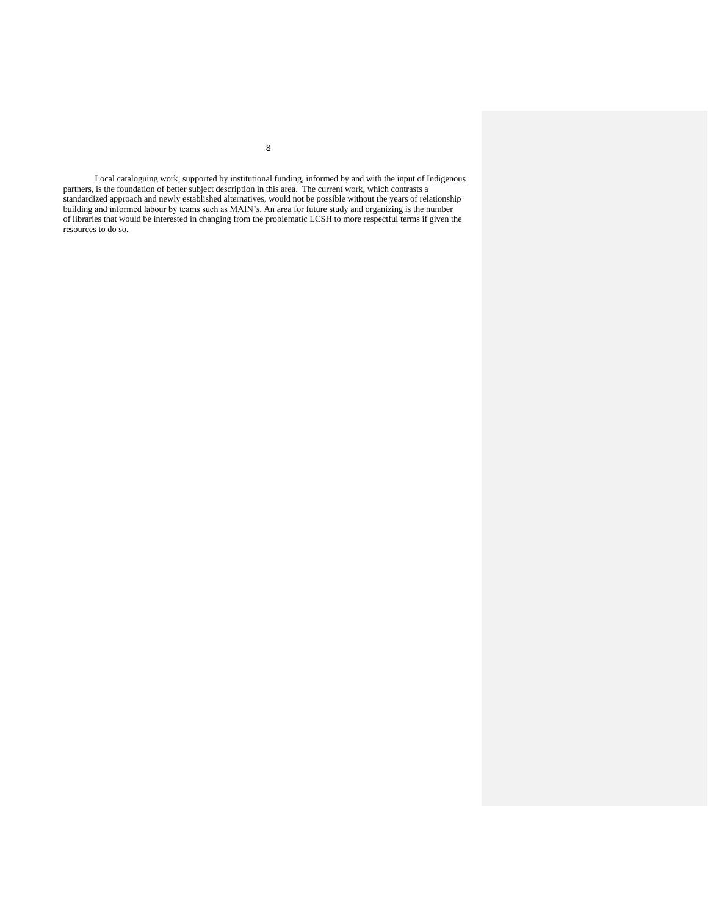Local cataloguing work, supported by institutional funding, informed by and with the input of Indigenous partners, is the foundation of better subject description in this area. The current work, which contrasts a standardized approach and newly established alternatives, would not be possible without the years of relationship building and informed labour by teams such as MAIN's. An area for future study and organizing is the number of libraries that would be interested in changing from the problematic LCSH to more respectful terms if given the resources to do so.

8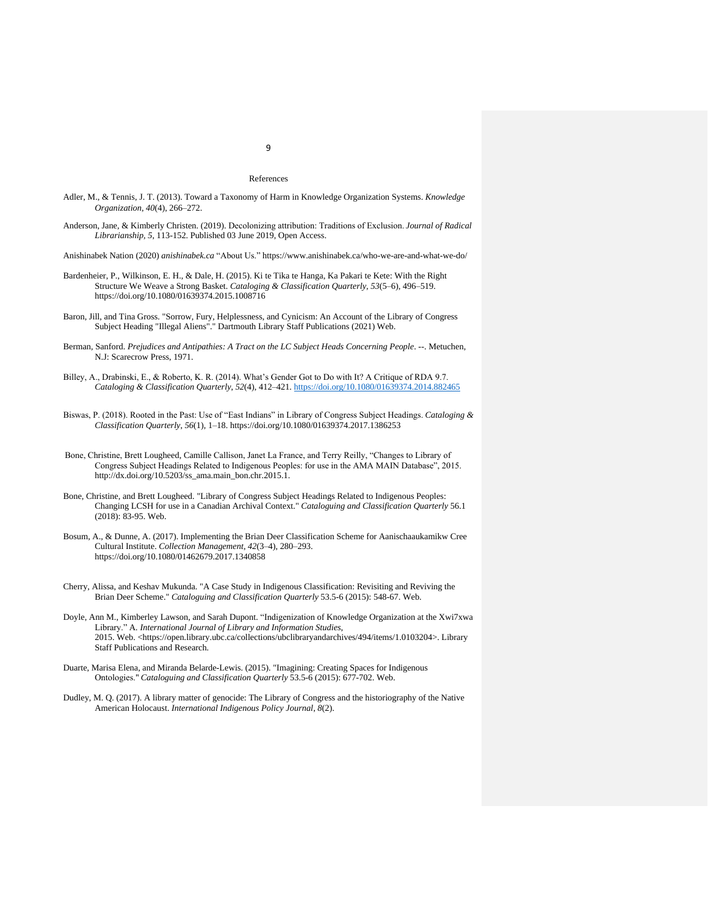#### References

- Adler, M., & Tennis, J. T. (2013). Toward a Taxonomy of Harm in Knowledge Organization Systems. *Knowledge Organization*, *40*(4), 266–272.
- Anderson, Jane, & Kimberly Christen. (2019). Decolonizing attribution: Traditions of Exclusion. *Journal of Radical Librarianship, 5*, 113-152. Published 03 June 2019, Open Access.
- Anishinabek Nation (2020) *anishinabek.ca* "About Us." https://www.anishinabek.ca/who-we-are-and-what-we-do/
- Bardenheier, P., Wilkinson, E. H., & Dale, H. (2015). Ki te Tika te Hanga, Ka Pakari te Kete: With the Right Structure We Weave a Strong Basket. *Cataloging & Classification Quarterly*, *53*(5–6), 496–519. https://doi.org/10.1080/01639374.2015.1008716
- Baron, Jill, and Tina Gross. "Sorrow, Fury, Helplessness, and Cynicism: An Account of the Library of Congress Subject Heading "Illegal Aliens"." Dartmouth Library Staff Publications (2021) Web.
- Berman, Sanford. *Prejudices and Antipathies: A Tract on the LC Subject Heads Concerning People*. --. Metuchen, N.J: Scarecrow Press, 1971.
- Billey, A., Drabinski, E., & Roberto, K. R. (2014). What's Gender Got to Do with It? A Critique of RDA 9.7. *Cataloging & Classification Quarterly*, *52*(4), 412–421[. https://doi.org/10.1080/01639374.2014.882465](https://doi.org/10.1080/01639374.2014.882465)
- Biswas, P. (2018). Rooted in the Past: Use of "East Indians" in Library of Congress Subject Headings. *Cataloging & Classification Quarterly*, *56*(1), 1–18. https://doi.org/10.1080/01639374.2017.1386253
- Bone, Christine, Brett Lougheed, Camille Callison, Janet La France, and Terry Reilly, "Changes to Library of Congress Subject Headings Related to Indigenous Peoples: for use in the AMA MAIN Database", 2015. http://dx.doi.org/10.5203/ss\_ama.main\_bon.chr.2015.1.
- Bone, Christine, and Brett Lougheed. "Library of Congress Subject Headings Related to Indigenous Peoples: Changing LCSH for use in a Canadian Archival Context." *Cataloguing and Classification Quarterly* 56.1 (2018): 83-95. Web.
- Bosum, A., & Dunne, A. (2017). Implementing the Brian Deer Classification Scheme for Aanischaaukamikw Cree Cultural Institute. *Collection Management*, *42*(3–4), 280–293. https://doi.org/10.1080/01462679.2017.1340858
- Cherry, Alissa, and Keshav Mukunda. "A Case Study in Indigenous Classification: Revisiting and Reviving the Brian Deer Scheme." *Cataloguing and Classification Quarterly* 53.5-6 (2015): 548-67. Web.
- Doyle, Ann M., Kimberley Lawson, and Sarah Dupont. "Indigenization of Knowledge Organization at the Xwi7xwa Library." A*. International Journal of Library and Information Studies*, 2015. Web. <https://open.library.ubc.ca/collections/ubclibraryandarchives/494/items/1.0103204>. Library Staff Publications and Research.
- Duarte, Marisa Elena, and Miranda Belarde-Lewis. (2015). "Imagining: Creating Spaces for Indigenous Ontologies." *Cataloguing and Classification Quarterly* 53.5-6 (2015): 677-702. Web.
- Dudley, M. Q. (2017). A library matter of genocide: The Library of Congress and the historiography of the Native American Holocaust. *International Indigenous Policy Journal*, *8*(2).

# 9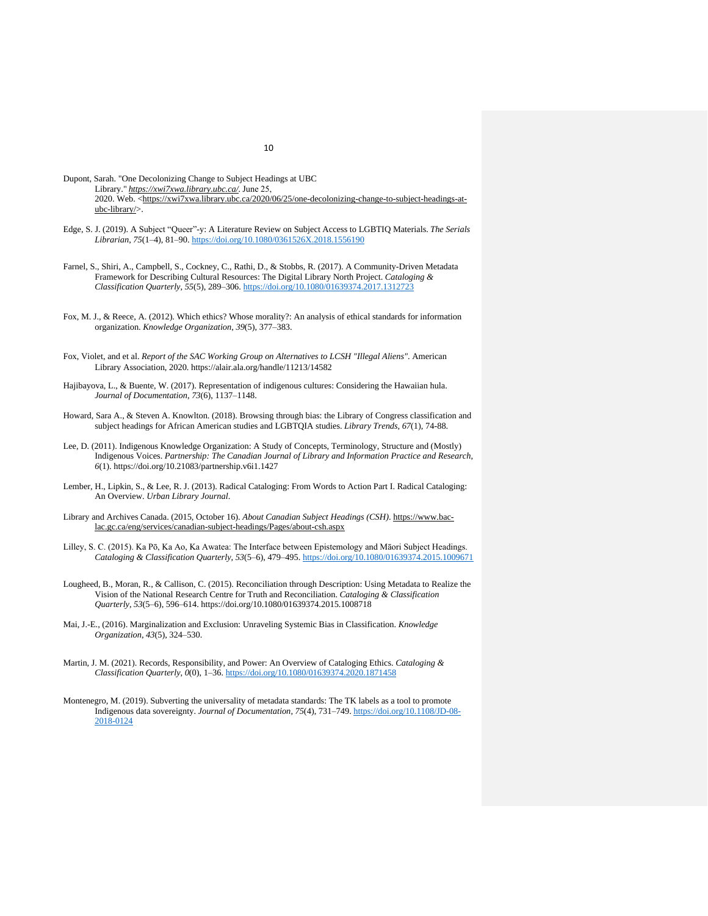- Dupont, Sarah. "One Decolonizing Change to Subject Headings at UBC Library." *[https://xwi7xwa.library.ubc.ca/.](https://xwi7xwa.library.ubc.ca/)* June 25, 2020. Web. [<https://xwi7xwa.library.ubc.ca/2020/06/25/one-decolonizing-change-to-subject-headings-at](https://xwi7xwa.library.ubc.ca/2020/06/25/one-decolonizing-change-to-subject-headings-at-ubc-library/)[ubc-library/>](https://xwi7xwa.library.ubc.ca/2020/06/25/one-decolonizing-change-to-subject-headings-at-ubc-library/).
- Edge, S. J. (2019). A Subject "Queer"-y: A Literature Review on Subject Access to LGBTIQ Materials. *The Serials Librarian*, *75*(1–4), 81–90[. https://doi.org/10.1080/0361526X.2018.1556190](https://doi.org/10.1080/0361526X.2018.1556190)
- Farnel, S., Shiri, A., Campbell, S., Cockney, C., Rathi, D., & Stobbs, R. (2017). A Community-Driven Metadata Framework for Describing Cultural Resources: The Digital Library North Project. *Cataloging & Classification Quarterly*, *55*(5), 289–306.<https://doi.org/10.1080/01639374.2017.1312723>
- Fox, M. J., & Reece, A. (2012). Which ethics? Whose morality?: An analysis of ethical standards for information organization. *Knowledge Organization*, *39*(5), 377–383.
- Fox, Violet, and et al. *Report of the SAC Working Group on Alternatives to LCSH "Illegal Aliens"*. American Library Association, 2020. https://alair.ala.org/handle/11213/14582
- Hajibayova, L., & Buente, W. (2017). Representation of indigenous cultures: Considering the Hawaiian hula. *Journal of Documentation*, *73*(6), 1137–1148.
- Howard, Sara A., & Steven A. Knowlton. (2018). Browsing through bias: the Library of Congress classification and subject headings for African American studies and LGBTQIA studies. *Library Trends, 67*(1), 74-88.
- Lee, D. (2011). Indigenous Knowledge Organization: A Study of Concepts, Terminology, Structure and (Mostly) Indigenous Voices. *Partnership: The Canadian Journal of Library and Information Practice and Research*, *6*(1). https://doi.org/10.21083/partnership.v6i1.1427
- Lember, H., Lipkin, S., & Lee, R. J. (2013). Radical Cataloging: From Words to Action Part I. Radical Cataloging: An Overview. *Urban Library Journal*.
- Library and Archives Canada. (2015, October 16). *About Canadian Subject Headings (CSH)*. [https://www.bac](https://www.bac-lac.gc.ca/eng/services/canadian-subject-headings/Pages/about-csh.aspx)[lac.gc.ca/eng/services/canadian-subject-headings/Pages/about-csh.aspx](https://www.bac-lac.gc.ca/eng/services/canadian-subject-headings/Pages/about-csh.aspx)
- Lilley, S. C. (2015). Ka Pō, Ka Ao, Ka Awatea: The Interface between Epistemology and Māori Subject Headings. *Cataloging & Classification Quarterly*, *53*(5–6), 479–495[. https://doi.org/10.1080/01639374.2015.1009671](https://doi.org/10.1080/01639374.2015.1009671)
- Lougheed, B., Moran, R., & Callison, C. (2015). Reconciliation through Description: Using Metadata to Realize the Vision of the National Research Centre for Truth and Reconciliation. *Cataloging & Classification Quarterly*, *53*(5–6), 596–614. https://doi.org/10.1080/01639374.2015.1008718
- Mai, J.-E., (2016). Marginalization and Exclusion: Unraveling Systemic Bias in Classification. *Knowledge Organization*, *43*(5), 324–530.
- Martin, J. M. (2021). Records, Responsibility, and Power: An Overview of Cataloging Ethics. *Cataloging & Classification Quarterly*, *0*(0), 1–36[. https://doi.org/10.1080/01639374.2020.1871458](https://doi.org/10.1080/01639374.2020.1871458)
- Montenegro, M. (2019). Subverting the universality of metadata standards: The TK labels as a tool to promote Indigenous data sovereignty. *Journal of Documentation*, *75*(4), 731–749[. https://doi.org/10.1108/JD-08-](https://doi.org/10.1108/JD-08-2018-0124) [2018-0124](https://doi.org/10.1108/JD-08-2018-0124)